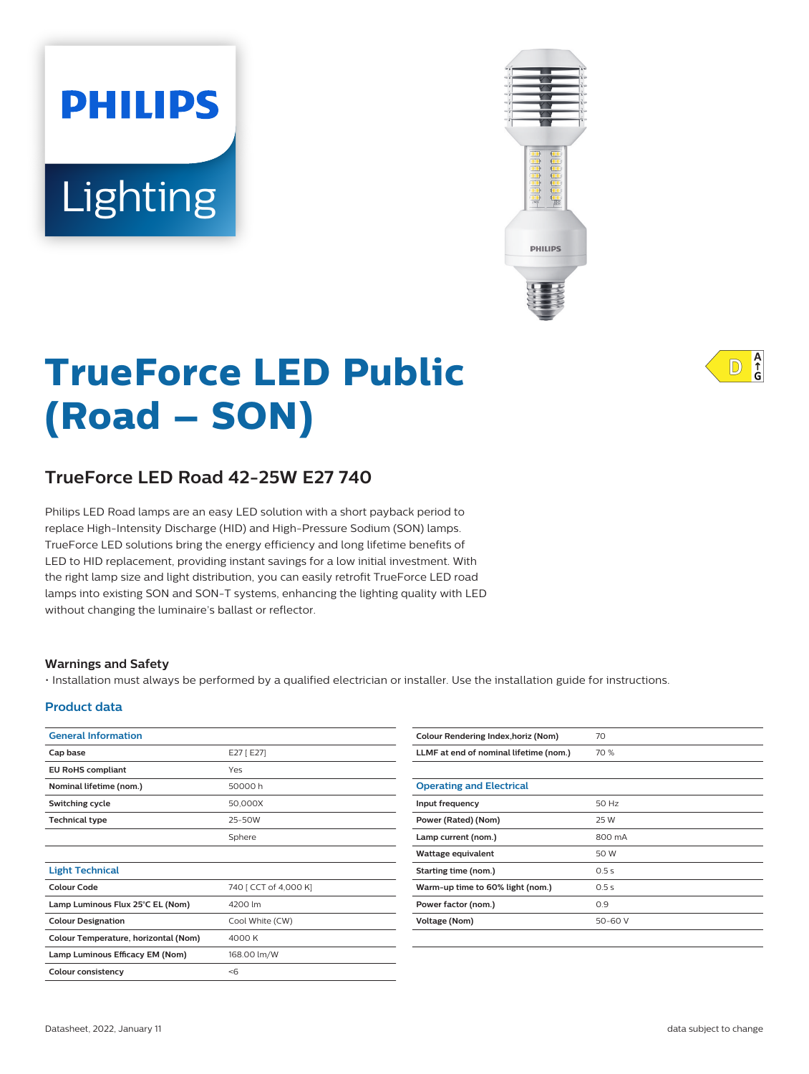# Lighting

**PHILIPS** 



# **TrueForce LED Public (Road – SON)**

# **TrueForce LED Road 42-25W E27 740**

Philips LED Road lamps are an easy LED solution with a short payback period to replace High-Intensity Discharge (HID) and High-Pressure Sodium (SON) lamps. TrueForce LED solutions bring the energy efficiency and long lifetime benefits of LED to HID replacement, providing instant savings for a low initial investment. With the right lamp size and light distribution, you can easily retrofit TrueForce LED road lamps into existing SON and SON-T systems, enhancing the lighting quality with LED without changing the luminaire's ballast or reflector.

#### **Warnings and Safety**

• Installation must always be performed by a qualified electrician or installer. Use the installation guide for instructions.

#### **Product data**

| <b>General Information</b>           |                       | <b>Colour Rende</b>  |
|--------------------------------------|-----------------------|----------------------|
| Cap base                             | E27 [ E27]            | LLMF at end          |
| <b>EU RoHS compliant</b>             | Yes                   |                      |
| Nominal lifetime (nom.)              | 50000 h               | <b>Operating a</b>   |
| Switching cycle                      | 50,000X               | Input frequen        |
| <b>Technical type</b>                | 25-50W                | <b>Power (Rated</b>  |
|                                      | Sphere                | Lamp current         |
|                                      |                       | Wattage equi         |
| <b>Light Technical</b>               |                       | <b>Starting time</b> |
| <b>Colour Code</b>                   | 740 [ CCT of 4,000 K] | Warm-up tim          |
| Lamp Luminous Flux 25°C EL (Nom)     | 4200 lm               | Power factor         |
| <b>Colour Designation</b>            | Cool White (CW)       | <b>Voltage (Nom</b>  |
| Colour Temperature, horizontal (Nom) | 4000 K                |                      |
| Lamp Luminous Efficacy EM (Nom)      | 168.00 lm/W           |                      |
| <b>Colour consistency</b>            | < 6                   |                      |
|                                      |                       |                      |

| Colour Rendering Index, horiz (Nom)    | 70      |
|----------------------------------------|---------|
| LLMF at end of nominal lifetime (nom.) | 70 %    |
|                                        |         |
| <b>Operating and Electrical</b>        |         |
| Input frequency                        | 50 Hz   |
| Power (Rated) (Nom)                    | 25 W    |
| Lamp current (nom.)                    | 800 mA  |
| Wattage equivalent                     | 50 W    |
| Starting time (nom.)                   | 0.5s    |
| Warm-up time to 60% light (nom.)       | 0.5s    |
| Power factor (nom.)                    | 0.9     |
| Voltage (Nom)                          | 50-60 V |
|                                        |         |

 $A$ <sub>G</sub>  $ID$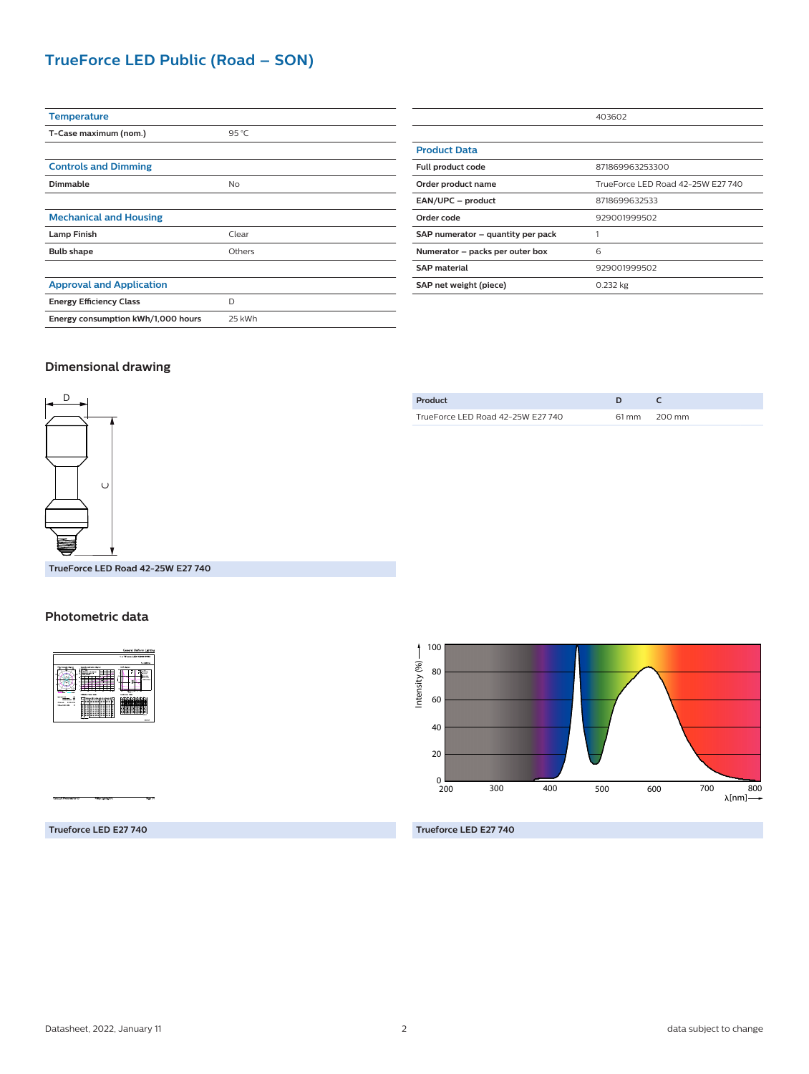## **TrueForce LED Public (Road – SON)**

| <b>Temperature</b>                 |                |
|------------------------------------|----------------|
| T-Case maximum (nom.)              | $95^{\circ}$ C |
|                                    |                |
| <b>Controls and Dimming</b>        |                |
| Dimmable                           | <b>No</b>      |
|                                    |                |
| <b>Mechanical and Housing</b>      |                |
| <b>Lamp Finish</b>                 | Clear          |
| <b>Bulb shape</b>                  | Others         |
|                                    |                |
| <b>Approval and Application</b>    |                |
| <b>Energy Efficiency Class</b>     | D              |
| Energy consumption kWh/1,000 hours | 25 kWh         |
|                                    |                |

|                                   | 403602                            |
|-----------------------------------|-----------------------------------|
|                                   |                                   |
| <b>Product Data</b>               |                                   |
| Full product code                 | 871869963253300                   |
| Order product name                | TrueForce LED Road 42-25W E27 740 |
| EAN/UPC - product                 | 8718699632533                     |
| Order code                        | 929001999502                      |
| SAP numerator - quantity per pack |                                   |
| Numerator - packs per outer box   | 6                                 |
| <b>SAP material</b>               | 929001999502                      |
| SAP net weight (piece)            | 0.232 kg                          |

#### **Dimensional drawing**



| Product                           |              |
|-----------------------------------|--------------|
| TrueForce LED Road 42-25W E27 740 | 61 mm 200 mm |
|                                   |              |

**TrueForce LED Road 42-25W E27 740**

#### **Photometric data**



100 Intensity (%)-Intensity (%) 80 60 40 20  $_{\frac{0}{200}}$ 200 300 400 500 600 700 800<br>← [nm] λ[nm]

**Trueforce LED E27 740**

**Trueforce LED E27 740**